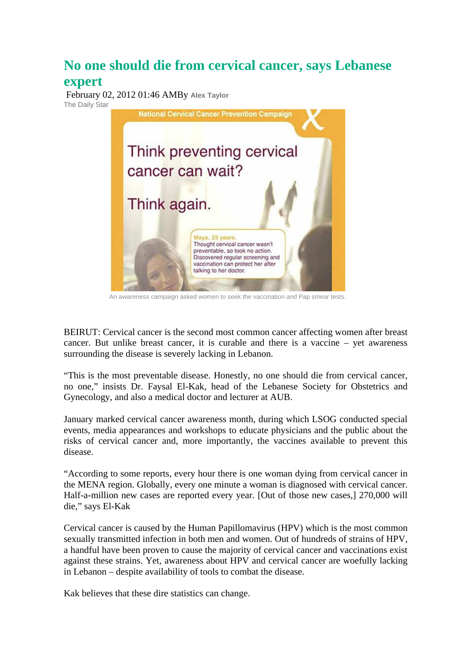## **No one should die from cervical cancer, says Lebanese expert**

 February 02, 2012 01:46 AMBy **[Alex Taylor](http://www.dailystar.com.lb/Alex-Taylor.ashx)** The Daily Star



An awareness campaign asked women to seek the vaccination and Pap smear tests.

BEIRUT: Cervical cancer is the second most common cancer affecting women after breast cancer. But unlike breast cancer, it is curable and there is a vaccine – yet awareness surrounding the disease is severely lacking in Lebanon.

"This is the most preventable disease. Honestly, no one should die from cervical cancer, no one," insists Dr. Faysal El-Kak, head of the Lebanese Society for Obstetrics and Gynecology, and also a medical doctor and lecturer at AUB.

January marked cervical cancer awareness month, during which LSOG conducted special events, media appearances and workshops to educate physicians and the public about the risks of cervical cancer and, more importantly, the vaccines available to prevent this disease.

"According to some reports, every hour there is one woman dying from cervical cancer in the MENA region. Globally, every one minute a woman is diagnosed with cervical cancer. Half-a-million new cases are reported every year. [Out of those new cases,] 270,000 will die," says El-Kak

Cervical cancer is caused by the Human Papillomavirus (HPV) which is the most common sexually transmitted infection in both men and women. Out of hundreds of strains of HPV, a handful have been proven to cause the majority of cervical cancer and vaccinations exist against these strains. Yet, awareness about HPV and cervical cancer are woefully lacking in Lebanon – despite availability of tools to combat the disease.

Kak believes that these dire statistics can change.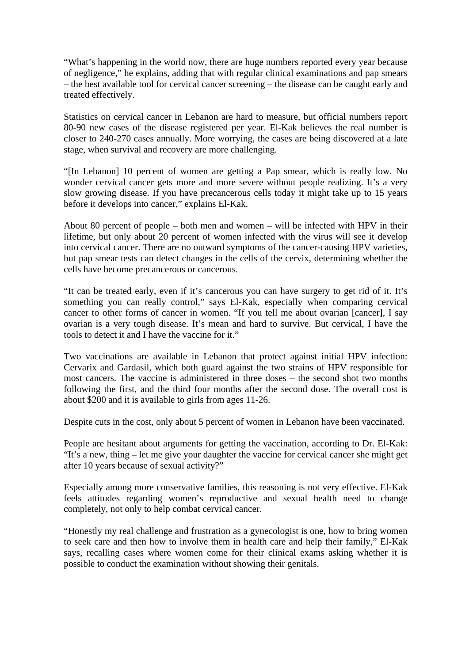"What's happening in the world now, there are huge numbers reported every year because of negligence," he explains, adding that with regular clinical examinations and pap smears – the best available tool for cervical cancer screening – the disease can be caught early and treated effectively.

Statistics on cervical cancer in Lebanon are hard to measure, but official numbers report 80-90 new cases of the disease registered per year. El-Kak believes the real number is closer to 240-270 cases annually. More worrying, the cases are being discovered at a late stage, when survival and recovery are more challenging.

"[In Lebanon] 10 percent of women are getting a Pap smear, which is really low. No wonder cervical cancer gets more and more severe without people realizing. It's a very slow growing disease. If you have precancerous cells today it might take up to 15 years before it develops into cancer," explains El-Kak.

About 80 percent of people – both men and women – will be infected with HPV in their lifetime, but only about 20 percent of women infected with the virus will see it develop into cervical cancer. There are no outward symptoms of the cancer-causing HPV varieties, but pap smear tests can detect changes in the cells of the cervix, determining whether the cells have become precancerous or cancerous.

"It can be treated early, even if it's cancerous you can have surgery to get rid of it. It's something you can really control," says El-Kak, especially when comparing cervical cancer to other forms of cancer in women. "If you tell me about ovarian [cancer], I say ovarian is a very tough disease. It's mean and hard to survive. But cervical, I have the tools to detect it and I have the vaccine for it."

Two vaccinations are available in Lebanon that protect against initial HPV infection: Cervarix and Gardasil, which both guard against the two strains of HPV responsible for most cancers. The vaccine is administered in three doses – the second shot two months following the first, and the third four months after the second dose. The overall cost is about \$200 and it is available to girls from ages 11-26.

Despite cuts in the cost, only about 5 percent of women in Lebanon have been vaccinated.

People are hesitant about arguments for getting the vaccination, according to Dr. El-Kak: "It's a new, thing – let me give your daughter the vaccine for cervical cancer she might get after 10 years because of sexual activity?"

Especially among more conservative families, this reasoning is not very effective. El-Kak feels attitudes regarding women's reproductive and sexual health need to change completely, not only to help combat cervical cancer.

"Honestly my real challenge and frustration as a gynecologist is one, how to bring women to seek care and then how to involve them in health care and help their family," El-Kak says, recalling cases where women come for their clinical exams asking whether it is possible to conduct the examination without showing their genitals.